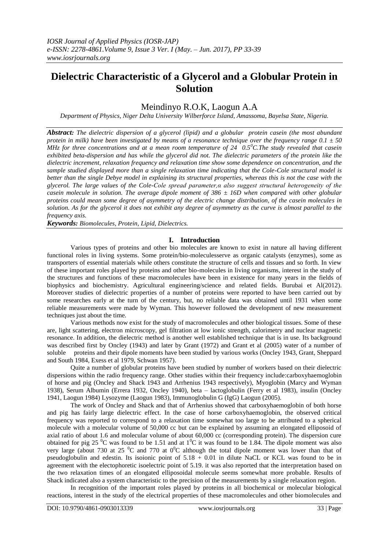# **Dielectric Characteristic of a Glycerol and a Globular Protein in Solution**

## Meindinyo R.O.K, Laogun A.A

*Department of Physics, Niger Delta University Wilberforce Island, Amassoma, Bayelsa State, Nigeria.*

*Abstract: The dielectric dispersion of a glycerol (lipid) and a globular protein casein (the most abundant protein in milk) have been investigated by means of a resonance technique over the frequency range*  $0.1 \pm 50$ *MHz for three concentrations and at a mean room temperature of 24 0.5<sup>0</sup>C.The study revealed that casein exhibited beta-dispersion and has while the glycerol did not. The dielectric parameters of the protein like the dielectric increment, relaxation frequency and relaxation time show some dependence on concentration, and the sample studied displayed more than a single relaxation time indicating that the Cole-Cole structural model is better than the single Debye model in explaining its structural properties, whereas this is not the case with the glycerol. The large values of the Cole-Cole spread parameter,α also suggest structural heterogeneity of the casein molecule in solution. The average dipole moment of 386 ± 16D when compared with other globular proteins could mean some degree of asymmetry of the electric change distribution, of the casein molecules in solution. As for the glycerol it does not exhibit any degree of asymmetry as the curve is almost parallel to the frequency axis.*

*Keywords: Biomolecules, Protein, Lipid, Dielectrics.*

### **I. Introduction**

Various types of proteins and other bio molecules are known to exist in nature all having different functional roles in living systems. Some protein/bio-moleculesserve as organic catalysts (enzymes), some as transporters of essential materials while others constitute the structure of cells and tissues and so forth. In view of these important roles played by proteins and other bio-molecules in living organisms, interest in the study of the structures and functions of these macromolecules have been in existence for many years in the fields of biophysics and biochemistry. Agricultural engineering/science and related fields. Burubai et Al(2012). Moreover studies of dielectric properties of a number of proteins were reported to have been carried out by some researches early at the turn of the century, but, no reliable data was obtained until 1931 when some reliable measurements were made by Wyman. This however followed the development of new measurement techniques just about the time.

Various methods now exist for the study of macromolecules and other biological tissues. Some of these are, light scattering, electron microscopy, gel filtration at low ionic strength, calorimetry and nuclear magnetic resonance. In addition, the dielectric method is another well established technique that is in use. Its background was described first by Oncley (1943) and later by Grant (1972) and Grant et al (2005) water of a number of soluble proteins and their dipole moments have been studied by various works (Oncley 1943, Grant, Sheppard and South 1984, Exess et al 1979, Schwan 1957).

Quite a number of globular proteins have been studied by number of workers based on their dielectric dispersions within the radio frequency range. Other studies within their frequency include:carboxyhaemoglobin of horse and pig (Oncley and Shack 1943 and Arrhenius 1943 respectively), Myoglobin (Marcy and Wyman 1938), Serum Albumin (Errera 1932, Oncley 1940), beta – lactoglobulin (Ferry et al 1983), insulin (Oncley 1941, Laogun 1984) Lysozyme (Laogun 1983), Immunoglobulin G (IgG) Laogun (2005).

The work of Oncley and Shack and that of Arrhenius showed that carboxyhaemoglobin of both horse and pig has fairly large dielectric effect. In the case of horse carboxyhaemoglobin, the observed critical frequency was reported to correspond to a relaxation time somewhat too large to be attributed to a spherical molecule with a molecular volume of 50,000 cc but can be explained by assuming an elongated elliposoid of axial ratio of about 1.6 and molecular volume of about 60,000 cc (corresponding protein). The dispersion cure obtained for pig 25  $\rm{^0C}$  was found to be 1.51 and at  $\rm{1^0C}$  it was found to be 1.84. The dipole moment was also very large (about 730 at 25  $\degree$ C and 770 at  $0\degree$ C although the total dipole moment was lower than that of pseudoglobulin and edestin. Its isoionic point of  $5.18 + 0.01$  in dilute NaCL or KCL was found to be in agreement with the electophoretic isoelectric point of 5.19. it was also reported that the interpretation based on the two relaxation times of an elongated elliposoidal molecule seems somewhat more probable. Results of Shack indicated also a system characteristic to the precision of the measurements by a single relaxation region.

In recognition of the important roles played by proteins in all biochemical or molecular biological reactions, interest in the study of the electrical properties of these macromolecules and other biomolecules and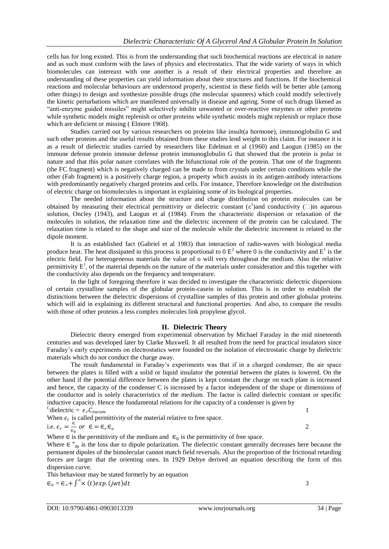cells has for long existed. This is from the understanding that such biochemical reactions are electrical in nature and as such must conform with the laws of physics and electrostatics. That the wide variety of ways in which biomolecules can intereaxt with one another is a result of their electrical properties and therefore an understanding of these properties can yield information about their structures and functions. If the biochemical reactions and molecular behaviours are understood properly, scientist in these fields will be better able (among other things) to design and synthesize possible drugs (the molecular spanners) which could modify selectively the kinetic perturbations which are manifested universally in disease and ageing. Some of such drugs likened as "anti-enzyme guided missiles" might selectively inhibit unwanted or over-reactive enzymes or other proteins while synthetic models might replenish or other proteins while synthetic models might replenish or replace those which are deficient or missing ( Elmore 1968).

Studies carried out by various researchers on proteins like insult(a hormone), immunoglobulin G and such other proteins and the useful results obtained from these studies lend weight to this claim. For instance it is as a result of dielectric studies carried by researchers like Edelman et al (1960) and Laogun (1985) on the immune defense protein immune defense protein immunoglobulin G that showed that the protein is polar in nature and that this polar nature correlates with the bifunctional role of the protein. That one of the fragments (the FC fragment) which is negatively charged can be made to from crystals under certain conditions while the other (Fab fragment) is a positively charge region, a property which assists in its antigen-antibody interactions with predominantly negatively charged proteins and cells. For instance, Therefore knowledge on the distribution of electric charge on biomolecules is important in explaining some of its biological properties.

The needed information about the structure and charge distribution on protein molecules can be obtained by measuring their electrical permittivity or dielectric constant  $(\epsilon^1)$  and conductivity ( $\Box$ )in aqueous solution, Oncley (1943), and Laogun et al (1984). From the characteristic dispersion or relaxation of the molecules in solution, the relaxation time and the dielectric increment of the protein can be calculated. The relaxation time is related to the shape and size of the molecule while the dielectric increment is related to the dipole moment.

It is an established fact (Gabriel et al 1983) that interaction of radio-waves with biological media produce heat. The heat dissipated in this process is proportional to 0  $E^2$  where 0 is the conductivity and  $E^1$  is the electric field. For heterogeneous materials the value of o will very throughout the medium. Also the relative permittivity  $E^1$ , of the material depends on the nature of the materials under consideration and this together with the conductivity also depends on the frequency and temperature.

In the light of foregoing therefore it was decided to investigate the characteristic dielectric dispersions of certain crystalline samples of the globular protein-casein in solution. This is in order to establish the distinctions between the dielectric dispersions of crystalline samples of this protein and other globular proteins which will aid in explaining its different structural and functional properties. And also, to compare the results with those of other proteins a less complex molecules link propylene glycol.

#### **II. Dielectric Theory**

Dielectric theory emerged from experimental observation by Michael Faraday in the mid nineteenth centuries and was developed later by Clarke Maxwell. It all resulted from the need for practical insulators since Faraday's early experiments on electrostatics were founded on the isolation of electrostatic charge by dielectric materials which do not conduct the charge away.

The result fundamental in Faraday's experiments was that if in a charged condenser, the air space between the plates is filled with a solid or liquid insulator the potential between the plates is lowered. On the other hand if the potential difference between the plates is kept constant the charge on each plate is increased and hence, the capacity of the condenser C is increased by a factor independent of the shape or dimensions of the conductor and is solely characteristics of the medium. The factor is called dielectric constant or specific inductive capacity. Hence the fundamental relations for the capacity of a condenser is given by

 ${}^{c}$ dielectric =  $\epsilon_r C_{vacum}$  1 When  $\epsilon_r$  is called permittivity of the material relative to free space. ∈

i.e. 
$$
\epsilon_r = \frac{e}{\epsilon_0}
$$
 or  $\epsilon = \epsilon_r \epsilon_o$ 

Where  $\in$  is the permittivity of the medium and  $\in_0$  is the permittivity of free space. Where  $\in$  "<sub>dp</sub> is the loss due to dipole polarization. The dielectric constant generally decreases here because the permanent dipoles of the bimolecular cannot match field reversals. Also the proportion of the frictional retarding forces are larger that the orienting ones. In 1929 Debye derived an equation describing the form of this dispersion curve.

This behaviour may be stated formerly by an equation  $\epsilon_{w} = \epsilon_{\infty} + \int^{\infty} \times (t) exp. (jwt) dt$ 

3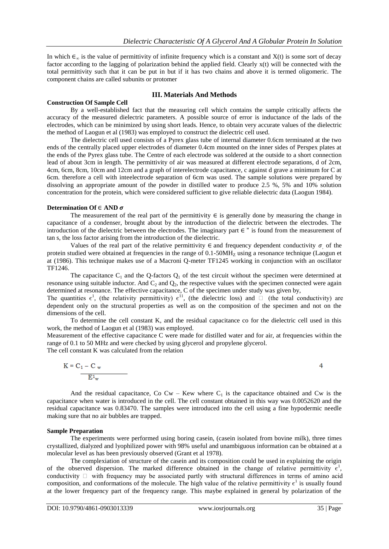In which  $\epsilon_{\infty}$  is the value of permittivity of infinite frequency which is a constant and X(t) is some sort of decay factor according to the lagging of polarization behind the applied field. Clearly x(t) will be connected with the total permittivity such that it can be put in but if it has two chains and above it is termed oligomeric. The component chains are called subunits or protomer

#### **Construction Of Sample Cell**

#### **III. Materials And Methods**

By a well-established fact that the measuring cell which contains the sample critically affects the accuracy of the measured dielectric parameters. A possible source of error is inductance of the lads of the electrodes, which can be minimized by using short leads. Hence, to obtain very accurate values of the dielectric the method of Laogun et al (1983) was employed to construct the dielectric cell used.

The dielectric cell used consists of a Pyrex glass tube of internal diameter 0.6cm terminated at the two ends of the centrally placed upper electrodes of diameter 0.4cm mounted on the inner sides of Perspex plates at the ends of the Pyrex glass tube. The Centre of each electrode was soldered at the outside to a short connection lead of about 3cm in length. The permittivity of air was measured at different electrode separations, d of 2cm, 4cm, 6cm, 8cm, 10cm and 12cm and a graph of interelectrode capacitance, c against d grave a minimum for C at 6cm. therefore a cell with inteelectrode separation of 6cm was used. The sample solutions were prepared by dissolving an appropriate amount of the powder in distilled water to produce 2.5 %, 5% and 10% solution concentration for the protein, which were considered sufficient to give reliable dielectric data (Laogun 1984).

#### Determination Of  $∈$  AND  $\sigma$

The measurement of the real part of the permittivity  $\in$  is generally done by measuring the change in capacitance of a condenser, brought about by the introduction of the dielectric between the electrodes. The introduction of the dielectric between the electrodes. The imaginary part ∈ " is found from the measurement of tan s, the loss factor arising from the introduction of the dielectric.

Values of the real part of the relative permittivity  $\epsilon$  and frequency dependent conductivity  $\sigma$  of the protein studied were obtained at frequencies in the range of 0.1-50MHz using a resonance technique (Laogun et at (1986). This technique makes use of a Macroni Q-meter TF1245 working in conjunction with an oscillator TF1246.

The capacitance  $C_1$  and the Q-factors  $Q_1$  of the test circuit without the specimen were determined at resonance using suitable inductor. And  $C_2$  and  $Q_2$ , the respective values with the specimen connected were again determined at resonance. The effective capacitance, C of the specimen under study was given by,

The quantities  $\epsilon^1$ , (the relativity permittivity)  $\epsilon^{11}$ , (the dielectric loss) and  $\Box$  (the total conductivity) are dependent only on the structural properties as well as on the composition of the specimen and not on the dimensions of the cell.

To determine the cell constant K, and the residual capacitance co for the dielectric cell used in this work, the method of Laogun et al (1983) was employed.

Measurement of the effective capacitance C were made for distilled water and for air, at frequencies within the range of 0.1 to 50 MHz and were checked by using glycerol and propylene glycerol.

The cell constant K was calculated from the relation

$$
K\equiv C_1-C_w\over E^1_w
$$

And the residual capacitance, Co Cw – Kew where  $C_1$  is the capacitance obtained and Cw is the capacitance when water is introduced in the cell. The cell constant obtained in this way was 0.0052620 and the residual capacitance was 0.83470. The samples were introduced into the cell using a fine hypodermic needle making sure that no air bubbles are trapped.

### **Sample Preparation**

The experiments were performed using boring casein, (casein isolated from bovine milk), three times crystallized, dialyzed and lyophilized power with 98% useful and unambiguous information can be obtained at a molecular level as has been previously observed (Grant et al 1978).

The complexiation of structure of the casein and its composition could be used in explaining the origin of the observed dispersion. The marked difference obtained in the change of relative permittivity  $\epsilon^1$ , conductivity  $\Box$  with frequency may be associated partly with structural differences in terms of amino acid composition, and conformations of the molecule. The high value of the relative permittivity  $\epsilon^1$  is usually found at the lower frequency part of the frequency range. This maybe explained in general by polarization of the

4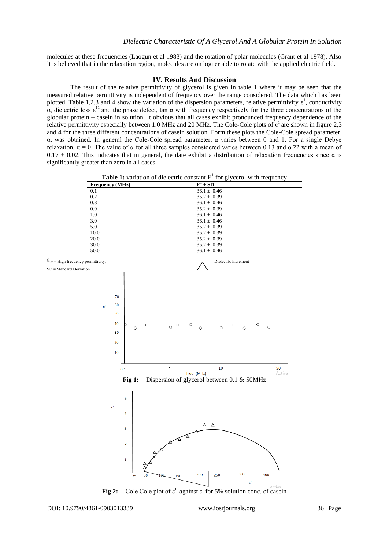molecules at these frequencies (Laogun et al 1983) and the rotation of polar molecules (Grant et al 1978). Also it is believed that in the relaxation region, molecules are on logner able to rotate with the applied electric field.

#### **IV. Results And Discussion**

The result of the relative permittivity of glycerol is given in table 1 where it may be seen that the measured relative permittivity is independent of frequency over the range considered. The data which has been plotted. Table 1,2,3 and 4 show the variation of the dispersion parameters, relative permittivity  $\varepsilon^1$ , conductivity  $\alpha$ , dielectric loss  $\varepsilon$ <sup>11</sup> and the phase defect, tan α with frequency respectively for the three concentrations of the globular protein – casein in solution. It obvious that all cases exhibit pronounced frequency dependence of the relative permittivity especially between 1.0 MHz and 20 MHz. The Cole-Cole plots of  $\epsilon^1$  are shown in figure 2,3 and 4 for the three different concentrations of casein solution. Form these plots the Cole-Cole spread parameter, α, was obtained. In general the Cole-Cole spread parameter, α varies between 0 and 1. For a single Debye relaxation,  $\alpha = 0$ . The value of α for all three samples considered varies between 0.13 and 0.22 with a mean of  $0.17 \pm 0.02$ . This indicates that in general, the date exhibit a distribution of relaxation frequencies since  $\alpha$  is significantly greater than zero in all cases.

**Table 1:** variation of dielectric constant  $E^1$  for glycerol with frequency

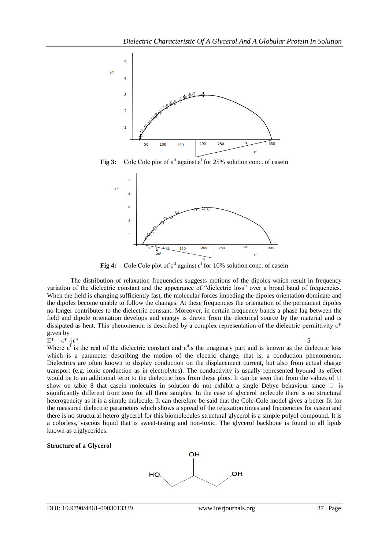

**Fig 3:** Cole Cole plot of  $\varepsilon$ <sup>II</sup> against  $\varepsilon$ <sup>I</sup> for 25% solution conc. of casein



**Fig 4:** Cole Cole plot of  $\varepsilon$ <sup>II</sup> against  $\varepsilon$ <sup>I</sup> for 10% solution conc. of casein

The distribution of relaxation frequencies suggests motions of the dipoles which result in frequency variation of the dielectric constant and the appearance of "dielectric loss" over a broad band of frequencies. When the field is changing sufficiently fast, the molecular forces impeding the dipoles orientation dominate and the dipoles become unable to follow the changes. At these frequencies the orientation of the permanent dipoles no longer contributes to the dielectric constant. Moreover, in certain frequency bands a phase lag between the field and dipole orientation develops and energy is drawn from the electrical source by the material and is dissipated as heat. This phenomenon is described by a complex representation of the dielectric permittivity ε\* given by

$$
E^* = \varepsilon^* - i\varepsilon^*
$$

 $E^* = \varepsilon^* - j \varepsilon^*$  5 Where  $\varepsilon^1$  is the real of the dielectric constant and  $\varepsilon^i$  is the imaginary part and is known as the dielectric loss which is a parameter describing the motion of the electric change, that is, a conduction phenomenon. Dielectrics are often known to display conduction on the displacement current, but also from actual charge transport (e.g. ionic conduction as in electrolytes). The conductivity is usually represented byσand its effect would be to an additional term to the dielectric loss from these plots. It can be seen that from the values of  $\Box$ show on table 8 that casein molecules in solution do not exhibit a single Debye behaviour since  $\Box$  is significantly different from zero for all three samples. In the case of glycerol molecule there is no structural heterogeneity as it is a simple molecule. It can therefore be said that the Cole-Cole model gives a better fit for the measured dielectric parameters which shows a spread of the relaxation times and frequencies for casein and there is no structural hetero glycerol for this biomolecules structural glycerol is a simple polyol compound. It is a colorless, viscous liquid that is sweet-tasting and non-toxic. The glycerol backbone is found in all lipids known as triglycerides.

#### **Structure of a Glycerol**

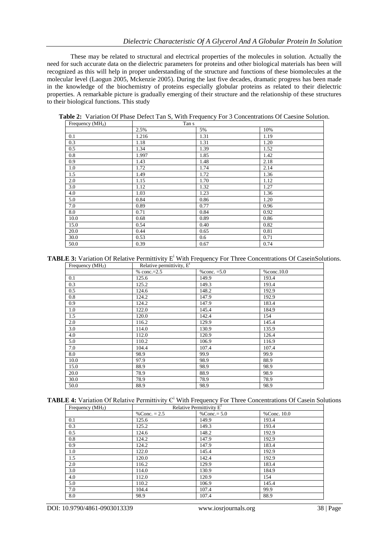These may be related to structural and electrical properties of the molecules in solution. Actually the need for such accurate data on the dielectric parameters for proteins and other biological materials has been will recognized as this will help in proper understanding of the structure and functions of these biomolecules at the molecular level (Laogun 2005, Mckenzie 2005). During the last five decades, dramatic progress has been made in the knowledge of the biochemistry of proteins especially globular proteins as related to their dielectric properties. A remarkable picture is gradually emerging of their structure and the relationship of these structures to their biological functions. This study

| Frequency (MH <sub>z</sub> ) | Tan s |      |      |
|------------------------------|-------|------|------|
|                              | 2.5%  | 5%   | 10%  |
| 0.1                          | 1.216 | 1.31 | 1.19 |
| 0.3                          | 1.18  | 1.31 | 1.20 |
| 0.5                          | 1.34  | 1.39 | 1.52 |
| 0.8                          | 1.997 | 1.85 | 1.42 |
| 0.9                          | 1.43  | 1.48 | 2.18 |
| 1.0                          | 1.72  | 1.74 | 2.14 |
| 1.5                          | 1.49  | 1.72 | 1.36 |
| 2.0                          | 1.15  | 1.70 | 1.12 |
| 3.0                          | 1.12  | 1.32 | 1.27 |
| 4.0                          | 1.03  | 1.23 | 1.36 |
| 5.0                          | 0.84  | 0.86 | 1.20 |
| 7.0                          | 0.89  | 0.77 | 0.96 |
| 8.0                          | 0.71  | 0.84 | 0.92 |
| 10.0                         | 0.68  | 0.89 | 0.86 |
| 15.0                         | 0.54  | 0.40 | 0.82 |
| 20.0                         | 0.44  | 0.65 | 0.81 |
| 30.0                         | 0.53  | 0.6  | 0.71 |
| 50.0                         | 0.39  | 0.67 | 0.74 |

**Table 2:** Variation Of Phase Defect Tan S, With Frequency For 3 Concentrations Of Caesine Solution.

**TABLE 3:** Variation Of Relative Permittivity E<sup>i</sup> With Frequency For Three Concentrations Of CaseinSolutions.

| Frequency $(MH_Z)$ | Relative permittivity, $EI$ |                |                      |
|--------------------|-----------------------------|----------------|----------------------|
|                    | % conc.= $2.5$              | % conc. $=5.0$ | $% \text{conc.10.0}$ |
| 0.1                | 125.6                       | 149.9          | 193.4                |
| 0.3                | 125.2                       | 149.3          | 193.4                |
| 0.5                | 124.6                       | 148.2          | 192.9                |
| 0.8                | 124.2                       | 147.9          | 192.9                |
| 0.9                | 124.2                       | 147.9          | 183.4                |
| 1.0                | 122.0                       | 145.4          | 184.9                |
| 1.5                | 120.0                       | 142.4          | 154                  |
| 2.0                | 116.2                       | 129.9          | 145.4                |
| 3.0                | 114.0                       | 130.9          | 135.9                |
| 4.0                | 112.0                       | 120.9          | 126.4                |
| 5.0                | 110.2                       | 106.9          | 116.9                |
| 7.0                | 104.4                       | 107.4          | 107.4                |
| 8.0                | 98.9                        | 99.9           | 99.9                 |
| 10.0               | 97.9                        | 98.9           | 88.9                 |
| 15.0               | 88.9                        | 98.9           | 98.9                 |
| 20.0               | 78.9                        | 88.9           | 98.9                 |
| 30.0               | 78.9                        | 78.9           | 78.9                 |
| 50.0               | 88.9                        | 98.9           | 98.9                 |

TABLE 4: Variation Of Relative Permittivity  $\mathbf{C}^i$  With Frequency For Three Concentrations Of Casein Solutions

| Frequency $(MHz)$ | Relative Permittivity $EI$ |                 |                |  |
|-------------------|----------------------------|-----------------|----------------|--|
|                   | % Conc. $= 2.5$            | % Conc. $= 5.0$ | % Conc. $10.0$ |  |
| 0.1               | 125.6                      | 149.9           | 193.4          |  |
| 0.3               | 125.2                      | 149.3           | 193.4          |  |
| 0.5               | 124.6                      | 148.2           | 192.9          |  |
| 0.8               | 124.2                      | 147.9           | 192.9          |  |
| 0.9               | 124.2                      | 147.9           | 183.4          |  |
| 1.0               | 122.0                      | 145.4           | 192.9          |  |
| 1.5               | 120.0                      | 142.4           | 192.9          |  |
| 2.0               | 116.2                      | 129.9           | 183.4          |  |
| 3.0               | 114.0                      | 130.9           | 184.9          |  |
| 4.0               | 112.0                      | 120.9           | 154            |  |
| 5.0               | 110.2                      | 106.9           | 145.4          |  |
| 7.0               | 104.4                      | 107.4           | 99.9           |  |
| 8.0               | 98.9                       | 107.4           | 88.9           |  |